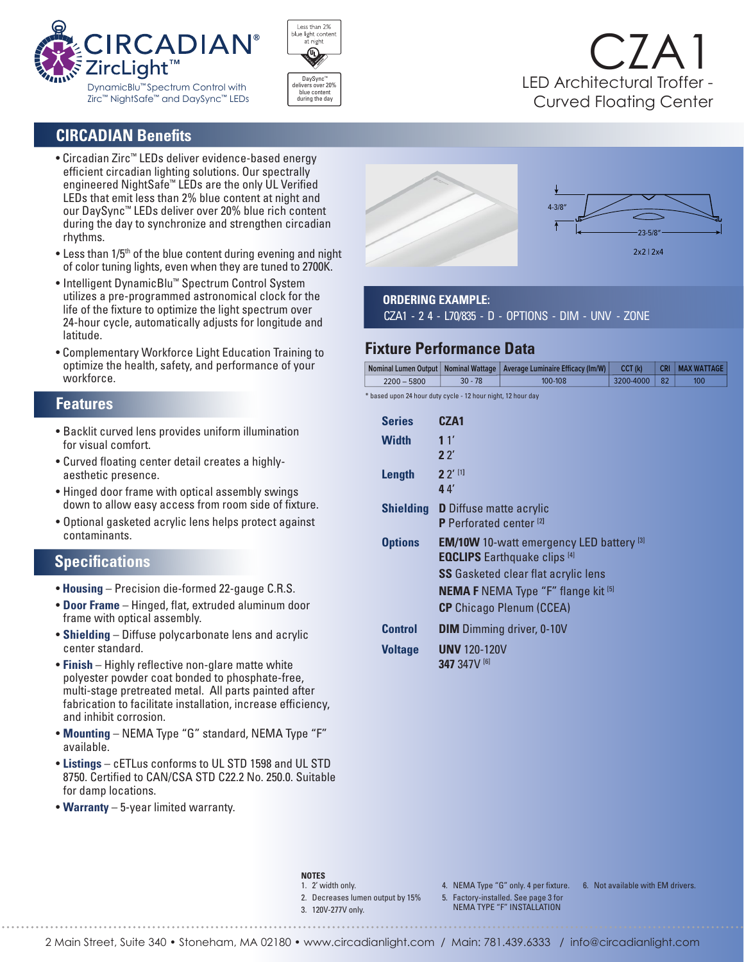



# CZA1 LED Architectural Troffer - Curved Floating Center

## **CIRCADIAN Benefits**

- Circadian Zirc™ LEDs deliver evidence-based energy efficient circadian lighting solutions. Our spectrally engineered NightSafe™ LEDs are the only UL Verified LEDs that emit less than 2% blue content at night and our DaySync™ LEDs deliver over 20% blue rich content during the day to synchronize and strengthen circadian rhythms.
- Less than 1/5<sup>th</sup> of the blue content during evening and night of color tuning lights, even when they are tuned to 2700K.
- Intelligent DynamicBlu™ Spectrum Control System utilizes a pre-programmed astronomical clock for the life of the fixture to optimize the light spectrum over 24-hour cycle, automatically adjusts for longitude and latitude.
- Complementary Workforce Light Education Training to optimize the health, safety, and performance of your workforce.

#### **Features**

- Backlit curved lens provides uniform illumination for visual comfort.
- Curved floating center detail creates a highly aesthetic presence.
- Hinged door frame with optical assembly swings down to allow easy access from room side of fixture.
- Optional gasketed acrylic lens helps protect against contaminants.

### **Specifications**

- **Housing** Precision die-formed 22-gauge C.R.S.
- **Door Frame** Hinged, flat, extruded aluminum door frame with optical assembly.
- **Shielding** Diffuse polycarbonate lens and acrylic center standard.
- **Finish** Highly reflective non-glare matte white polyester powder coat bonded to phosphate-free, multi-stage pretreated metal. All parts painted after fabrication to facilitate installation, increase efficiency, and inhibit corrosion.
- **Mounting** NEMA Type "G" standard, NEMA Type "F" available.
- **Listings** cETLus conforms to UL STD 1598 and UL STD 8750. Certified to CAN/CSA STD C22.2 No. 250.0. Suitable for damp locations.
- **Warranty** 5-year limited warranty.



#### **ORDERING EXAMPLE:**

CZA1 - 2 4 - L70/835 - D - OPTIONS - DIM - UNV - ZONE

### **Fixture Performance Data**

|               |           | Nominal Lumen Output   Nominal Wattage   Average Luminaire Efficacy (Im/W) | CCT (k)   |    | CRI   MAX WATTAGE |
|---------------|-----------|----------------------------------------------------------------------------|-----------|----|-------------------|
| $2200 - 5800$ | $30 - 78$ | 100-108                                                                    | 3200-4000 | 82 | 100               |

\* based upon 24 hour duty cycle - 12 hour night, 12 hour day

| <b>Series</b>    | CZA1                                                                                                   |  |  |
|------------------|--------------------------------------------------------------------------------------------------------|--|--|
| Width            | 11'<br>22'                                                                                             |  |  |
| Length           | $2^{7}$ <sup>[1]</sup><br>44                                                                           |  |  |
| <b>Shielding</b> | <b>D</b> Diffuse matte acrylic<br>P Perforated center <sup>[2]</sup>                                   |  |  |
| <b>Options</b>   | <b>EM/10W</b> 10-watt emergency LED battery $^{[3]}$<br><b>EQCLIPS</b> Earthquake clips <sup>[4]</sup> |  |  |
|                  | <b>SS</b> Gasketed clear flat acrylic lens                                                             |  |  |
|                  | <b>NEMA F</b> NEMA Type "F" flange kit $^{[5]}$                                                        |  |  |
|                  | <b>CP</b> Chicago Plenum (CCEA)                                                                        |  |  |
| <b>Control</b>   | <b>DIM</b> Dimming driver, 0-10V                                                                       |  |  |
| <b>Voltage</b>   | <b>UNV</b> 120-120V<br>347 347V [6]                                                                    |  |  |

#### **NOTES**

- 1. 2' width only.
- 2. Decreases lumen output by 15%
- 3. 120V-277V only.
- 
- 5. Factory-installed. See page 3 for NEMA TYPE "F" INSTALLATION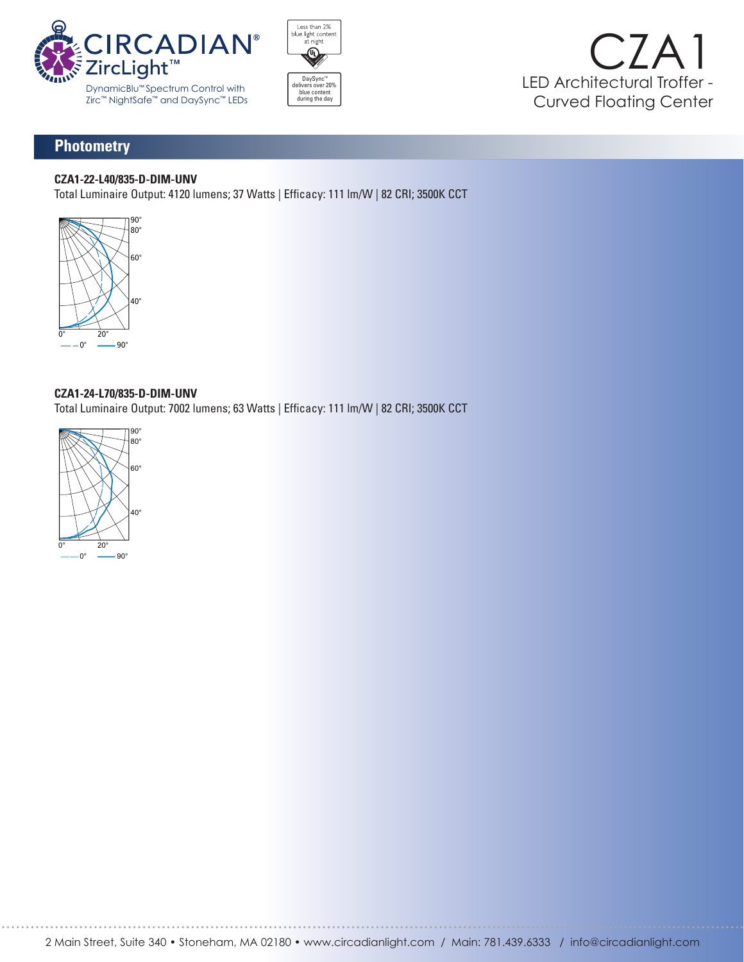





# **Photometry**

### **CZA1-22-L40/835-D-DIM-UNV**

Total Luminaire Output: 4120 lumens; 37 Watts | Efficacy: 111 lm/W | 82 CRI; 3500K CCT



#### **CZA1-24-L70/835-D-DIM-UNV**

Total Luminaire Output: 7002 lumens; 63 Watts | Efficacy: 111 lm/W | 82 CRI; 3500K CCT 90° 80° **VERTICAL ANGLE HORIZONTAL ANGLE ZONAL LUMENS 0º 45º 90º LUMEN SUMMARY**